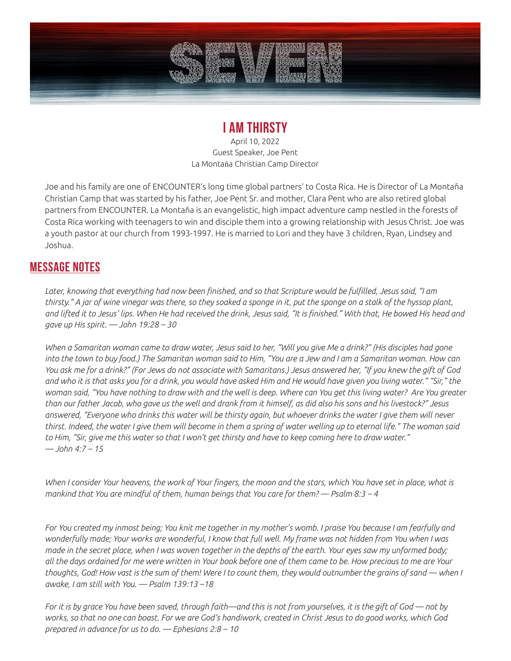

## **I AM THIRSTY**

April 10, 2022 Guest Speaker, Joe Pent La Montaña Christian Camp Director

Joe and his family are one of ENCOUNTER's long time global partners' to Costa Rica. He is Director of La Montaña Christian Camp that was started by his father, Joe Pent Sr. and mother, Clara Pent who are also retired global partners from ENCOUNTER. La Montaña is an evangelistic, high impact adventure camp nestled in the forests of Costa Rica working with teenagers to win and disciple them into a growing relationship with Jesus Christ. Joe was a youth pastor at our church from 1993-1997. He is married to Lori and they have 3 children, Ryan, Lindsey and Joshua.

## **MESSAGE NOTES**

*Later, knowing that everything had now been finished, and so that Scripture would be fulfilled, Jesus said, "I am thirsty." A jar of wine vinegar was there, so they soaked a sponge in it, put the sponge on a stalk of the hyssop plant, and lifted it to Jesus' lips. When He had received the drink, Jesus said, "It is finished." With that, He bowed His head and gave up His spirit. — John 19:28 – 30*

*When a Samaritan woman came to draw water, Jesus said to her, "Will you give Me a drink?" (His disciples had gone into the town to buy food.) The Samaritan woman said to Him, "You are a Jew and I am a Samaritan woman. How can You ask me for a drink?" (For Jews do not associate with Samaritans.) Jesus answered her, "If you knew the gift of God and who it is that asks you for a drink, you would have asked Him and He would have given you living water." "Sir," the woman said, "You have nothing to draw with and the well is deep. Where can You get this living water? Are You greater than our father Jacob, who gave us the well and drank from it himself, as did also his sons and his livestock?" Jesus answered, "Everyone who drinks this water will be thirsty again, but whoever drinks the water I give them will never thirst. Indeed, the water I give them will become in them a spring of water welling up to eternal life." The woman said to Him, "Sir, give me this water so that I won't get thirsty and have to keep coming here to draw water." — John 4:7 – 15*

*When I consider Your heavens, the work of Your fingers, the moon and the stars, which You have set in place, what is mankind that You are mindful of them, human beings that You care for them? — Psalm 8:3 – 4*

*For You created my inmost being; You knit me together in my mother's womb. I praise You because I am fearfully and wonderfully made; Your works are wonderful, I know that full well. My frame was not hidden from You when I was made in the secret place, when I was woven together in the depths of the earth. Your eyes saw my unformed body; all the days ordained for me were written in Your book before one of them came to be. How precious to me are Your thoughts, God! How vast is the sum of them! Were I to count them, they would outnumber the grains of sand — when I awake, I am still with You. — Psalm 139:13 –18*

*For it is by grace You have been saved, through faith—and this is not from yourselves, it is the gift of God — not by works, so that no one can boast. For we are God's handiwork, created in Christ Jesus to do good works, which God prepared in advance for us to do. — Ephesians 2:8 – 10*